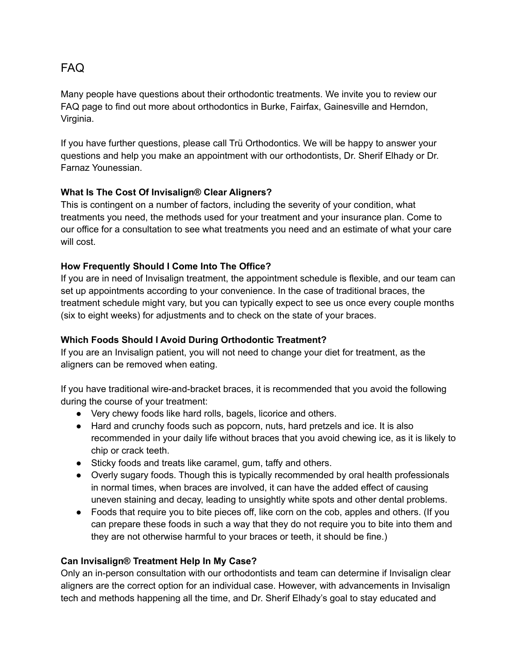# FAQ

Many people have questions about their orthodontic treatments. We invite you to review our FAQ page to find out more about orthodontics in Burke, Fairfax, Gainesville and Herndon, Virginia.

If you have further questions, please call Trü Orthodontics. We will be happy to answer your questions and help you make an appointment with our orthodontists, Dr. Sherif Elhady or Dr. Farnaz Younessian.

# **What Is The Cost Of Invisalign® Clear Aligners?**

This is contingent on a number of factors, including the severity of your condition, what treatments you need, the methods used for your treatment and your insurance plan. Come to our office for a consultation to see what treatments you need and an estimate of what your care will cost.

# **How Frequently Should I Come Into The Office?**

If you are in need of Invisalign treatment, the appointment schedule is flexible, and our team can set up appointments according to your convenience. In the case of traditional braces, the treatment schedule might vary, but you can typically expect to see us once every couple months (six to eight weeks) for adjustments and to check on the state of your braces.

# **Which Foods Should I Avoid During Orthodontic Treatment?**

If you are an Invisalign patient, you will not need to change your diet for treatment, as the aligners can be removed when eating.

If you have traditional wire-and-bracket braces, it is recommended that you avoid the following during the course of your treatment:

- Very chewy foods like hard rolls, bagels, licorice and others.
- Hard and crunchy foods such as popcorn, nuts, hard pretzels and ice. It is also recommended in your daily life without braces that you avoid chewing ice, as it is likely to chip or crack teeth.
- Sticky foods and treats like caramel, gum, taffy and others.
- Overly sugary foods. Though this is typically recommended by oral health professionals in normal times, when braces are involved, it can have the added effect of causing uneven staining and decay, leading to unsightly white spots and other dental problems.
- Foods that require you to bite pieces off, like corn on the cob, apples and others. (If you can prepare these foods in such a way that they do not require you to bite into them and they are not otherwise harmful to your braces or teeth, it should be fine.)

# **Can Invisalign® Treatment Help In My Case?**

Only an in-person consultation with our orthodontists and team can determine if Invisalign clear aligners are the correct option for an individual case. However, with advancements in Invisalign tech and methods happening all the time, and Dr. Sherif Elhady's goal to stay educated and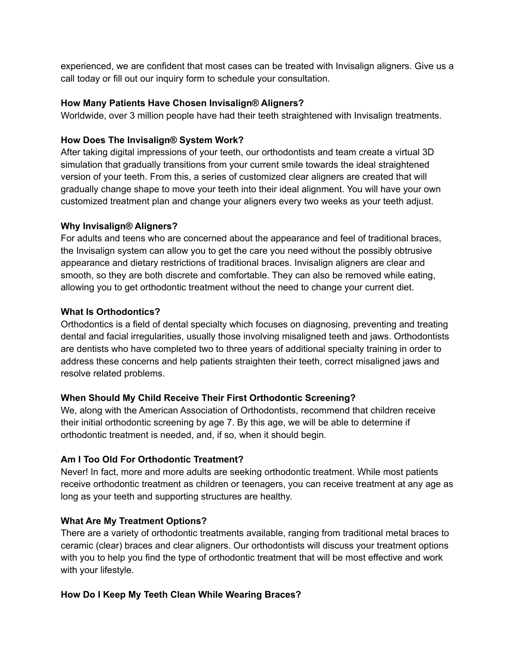experienced, we are confident that most cases can be treated with Invisalign aligners. Give us a call today or fill out our inquiry form to schedule your consultation.

#### **How Many Patients Have Chosen Invisalign® Aligners?**

Worldwide, over 3 million people have had their teeth straightened with Invisalign treatments.

#### **How Does The Invisalign® System Work?**

After taking digital impressions of your teeth, our orthodontists and team create a virtual 3D simulation that gradually transitions from your current smile towards the ideal straightened version of your teeth. From this, a series of customized clear aligners are created that will gradually change shape to move your teeth into their ideal alignment. You will have your own customized treatment plan and change your aligners every two weeks as your teeth adjust.

#### **Why Invisalign® Aligners?**

For adults and teens who are concerned about the appearance and feel of traditional braces, the Invisalign system can allow you to get the care you need without the possibly obtrusive appearance and dietary restrictions of traditional braces. Invisalign aligners are clear and smooth, so they are both discrete and comfortable. They can also be removed while eating, allowing you to get orthodontic treatment without the need to change your current diet.

#### **What Is Orthodontics?**

Orthodontics is a field of dental specialty which focuses on diagnosing, preventing and treating dental and facial irregularities, usually those involving misaligned teeth and jaws. Orthodontists are dentists who have completed two to three years of additional specialty training in order to address these concerns and help patients straighten their teeth, correct misaligned jaws and resolve related problems.

# **When Should My Child Receive Their First Orthodontic Screening?**

We, along with the American Association of Orthodontists, recommend that children receive their initial orthodontic screening by age 7. By this age, we will be able to determine if orthodontic treatment is needed, and, if so, when it should begin.

# **Am I Too Old For Orthodontic Treatment?**

Never! In fact, more and more adults are seeking orthodontic treatment. While most patients receive orthodontic treatment as children or teenagers, you can receive treatment at any age as long as your teeth and supporting structures are healthy.

# **What Are My Treatment Options?**

There are a variety of orthodontic treatments available, ranging from traditional metal braces to ceramic (clear) braces and clear aligners. Our orthodontists will discuss your treatment options with you to help you find the type of orthodontic treatment that will be most effective and work with your lifestyle.

# **How Do I Keep My Teeth Clean While Wearing Braces?**